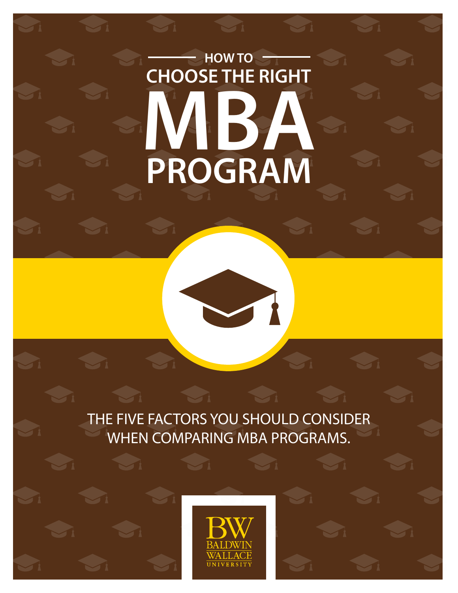# **HOW TO CHOOSE THE RIGHT MBA PROGRAM**

THE FIVE FACTORS YOU SHOULD CONSIDER WHEN COMPARING MBA PROGRAMS.

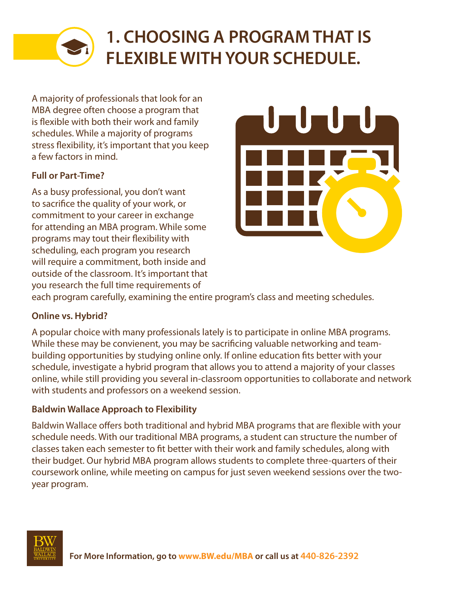

# **1. CHOOSING A PROGRAM THAT IS FLEXIBLE WITH YOUR SCHEDULE.**

A majority of professionals that look for an MBA degree often choose a program that is flexible with both their work and family schedules. While a majority of programs stress flexibility, it's important that you keep a few factors in mind.

#### **Full or Part-Time?**

As a busy professional, you don't want to sacrifice the quality of your work, or commitment to your career in exchange for attending an MBA program. While some programs may tout their flexibility with scheduling, each program you research will require a commitment, both inside and outside of the classroom. It's important that you research the full time requirements of



each program carefully, examining the entire program's class and meeting schedules.

#### **Online vs. Hybrid?**

A popular choice with many professionals lately is to participate in online MBA programs. While these may be convienent, you may be sacrificing valuable networking and teambuilding opportunities by studying online only. If online education fits better with your schedule, investigate a hybrid program that allows you to attend a majority of your classes online, while still providing you several in-classroom opportunities to collaborate and network with students and professors on a weekend session.

#### **Baldwin Wallace Approach to Flexibility**

Baldwin Wallace offers both traditional and hybrid MBA programs that are flexible with your schedule needs. With our traditional MBA programs, a student can structure the number of classes taken each semester to fit better with their work and family schedules, along with their budget. Our hybrid MBA program allows students to complete three-quarters of their coursework online, while meeting on campus for just seven weekend sessions over the twoyear program.

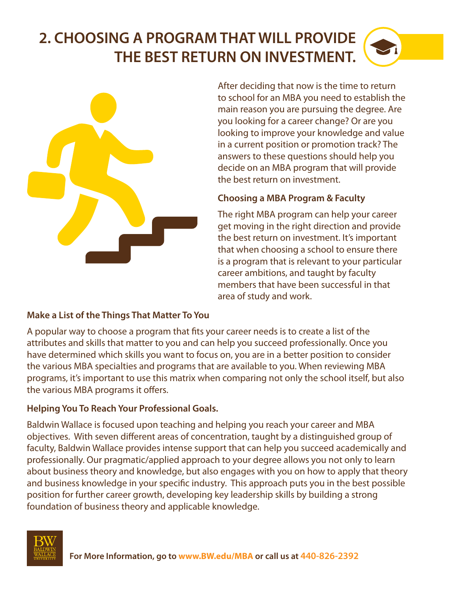# **2. CHOOSING A PROGRAM THAT WILL PROVIDE THE BEST RETURN ON INVESTMENT.**



After deciding that now is the time to return to school for an MBA you need to establish the main reason you are pursuing the degree. Are you looking for a career change? Or are you looking to improve your knowledge and value in a current position or promotion track? The answers to these questions should help you decide on an MBA program that will provide the best return on investment.

#### **Choosing a MBA Program & Faculty**

The right MBA program can help your career get moving in the right direction and provide the best return on investment. It's important that when choosing a school to ensure there is a program that is relevant to your particular career ambitions, and taught by faculty members that have been successful in that area of study and work.

#### **Make a List of the Things That Matter To You**

A popular way to choose a program that fits your career needs is to create a list of the attributes and skills that matter to you and can help you succeed professionally. Once you have determined which skills you want to focus on, you are in a better position to consider the various MBA specialties and programs that are available to you. When reviewing MBA programs, it's important to use this matrix when comparing not only the school itself, but also the various MBA programs it offers.

#### **Helping You To Reach Your Professional Goals.**

Baldwin Wallace is focused upon teaching and helping you reach your career and MBA objectives. With seven different areas of concentration, taught by a distinguished group of faculty, Baldwin Wallace provides intense support that can help you succeed academically and professionally. Our pragmatic/applied approach to your degree allows you not only to learn about business theory and knowledge, but also engages with you on how to apply that theory and business knowledge in your specific industry. This approach puts you in the best possible position for further career growth, developing key leadership skills by building a strong foundation of business theory and applicable knowledge.

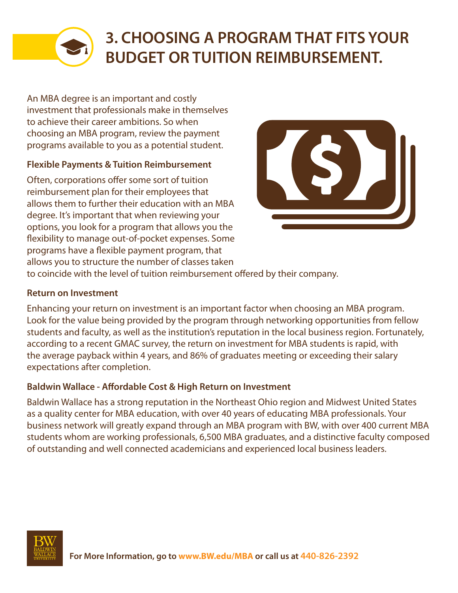

# **3. CHOOSING A PROGRAM THAT FITS YOUR BUDGET OR TUITION REIMBURSEMENT.**

An MBA degree is an important and costly investment that professionals make in themselves to achieve their career ambitions. So when choosing an MBA program, review the payment programs available to you as a potential student.

#### **Flexible Payments & Tuition Reimbursement**

Often, corporations offer some sort of tuition reimbursement plan for their employees that allows them to further their education with an MBA degree. It's important that when reviewing your options, you look for a program that allows you the flexibility to manage out-of-pocket expenses. Some programs have a flexible payment program, that allows you to structure the number of classes taken



to coincide with the level of tuition reimbursement offered by their company.

#### **Return on Investment**

Enhancing your return on investment is an important factor when choosing an MBA program. Look for the value being provided by the program through networking opportunities from fellow students and faculty, as well as the institution's reputation in the local business region. Fortunately, according to a recent GMAC survey, the return on investment for MBA students is rapid, with the average payback within 4 years, and 86% of graduates meeting or exceeding their salary expectations after completion.

#### **Baldwin Wallace - Affordable Cost & High Return on Investment**

Baldwin Wallace has a strong reputation in the Northeast Ohio region and Midwest United States as a quality center for MBA education, with over 40 years of educating MBA professionals. Your business network will greatly expand through an MBA program with BW, with over 400 current MBA students whom are working professionals, 6,500 MBA graduates, and a distinctive faculty composed of outstanding and well connected academicians and experienced local business leaders.

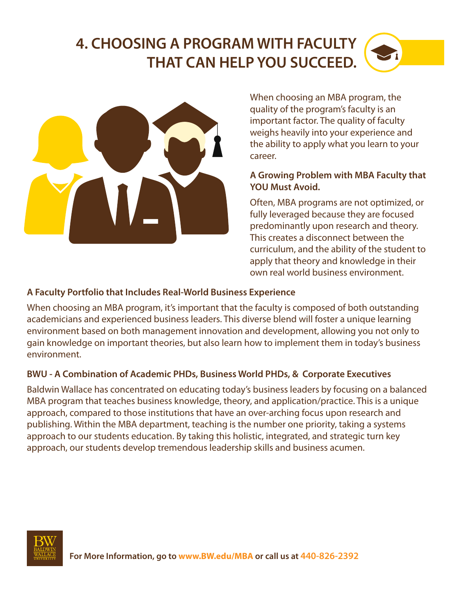## **4. CHOOSING A PROGRAM WITH FACULTY THAT CAN HELP YOU SUCCEED.**



When choosing an MBA program, the quality of the program's faculty is an important factor. The quality of faculty weighs heavily into your experience and the ability to apply what you learn to your career.

#### **A Growing Problem with MBA Faculty that YOU Must Avoid.**

Often, MBA programs are not optimized, or fully leveraged because they are focused predominantly upon research and theory. This creates a disconnect between the curriculum, and the ability of the student to apply that theory and knowledge in their own real world business environment.

#### **A Faculty Portfolio that Includes Real-World Business Experience**

When choosing an MBA program, it's important that the faculty is composed of both outstanding academicians and experienced business leaders. This diverse blend will foster a unique learning environment based on both management innovation and development, allowing you not only to gain knowledge on important theories, but also learn how to implement them in today's business environment.

#### **BWU - A Combination of Academic PHDs, Business World PHDs, & Corporate Executives**

Baldwin Wallace has concentrated on educating today's business leaders by focusing on a balanced MBA program that teaches business knowledge, theory, and application/practice. This is a unique approach, compared to those institutions that have an over-arching focus upon research and publishing. Within the MBA department, teaching is the number one priority, taking a systems approach to our students education. By taking this holistic, integrated, and strategic turn key approach, our students develop tremendous leadership skills and business acumen.

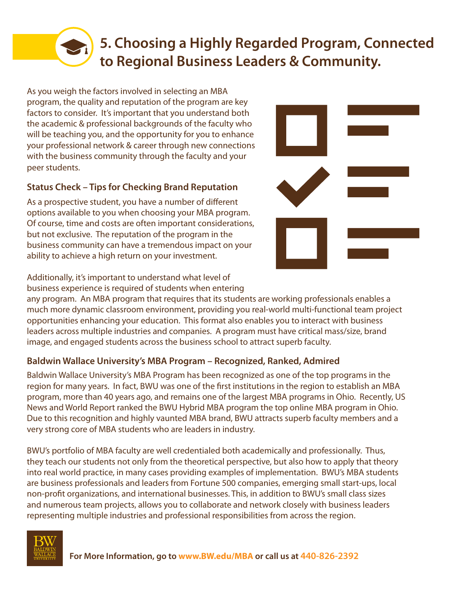### **5. Choosing a Highly Regarded Program, Connected to Regional Business Leaders & Community.**

As you weigh the factors involved in selecting an MBA program, the quality and reputation of the program are key factors to consider. It's important that you understand both the academic & professional backgrounds of the faculty who will be teaching you, and the opportunity for you to enhance your professional network & career through new connections with the business community through the faculty and your peer students.

#### **Status Check – Tips for Checking Brand Reputation**

As a prospective student, you have a number of different options available to you when choosing your MBA program. Of course, time and costs are often important considerations, but not exclusive. The reputation of the program in the business community can have a tremendous impact on your ability to achieve a high return on your investment.

Additionally, it's important to understand what level of business experience is required of students when entering

any program. An MBA program that requires that its students are working professionals enables a much more dynamic classroom environment, providing you real-world multi-functional team project opportunities enhancing your education. This format also enables you to interact with business leaders across multiple industries and companies. A program must have critical mass/size, brand image, and engaged students across the business school to attract superb faculty.

#### **Baldwin Wallace University's MBA Program – Recognized, Ranked, Admired**

Baldwin Wallace University's MBA Program has been recognized as one of the top programs in the region for many years. In fact, BWU was one of the first institutions in the region to establish an MBA program, more than 40 years ago, and remains one of the largest MBA programs in Ohio. Recently, US News and World Report ranked the BWU Hybrid MBA program the top online MBA program in Ohio. Due to this recognition and highly vaunted MBA brand, BWU attracts superb faculty members and a very strong core of MBA students who are leaders in industry.

BWU's portfolio of MBA faculty are well credentialed both academically and professionally. Thus, they teach our students not only from the theoretical perspective, but also how to apply that theory into real world practice, in many cases providing examples of implementation. BWU's MBA students are business professionals and leaders from Fortune 500 companies, emerging small start-ups, local non-profit organizations, and international businesses. This, in addition to BWU's small class sizes and numerous team projects, allows you to collaborate and network closely with business leaders representing multiple industries and professional responsibilities from across the region.